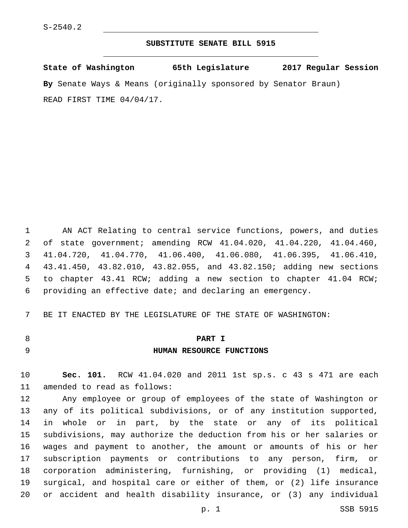#### **SUBSTITUTE SENATE BILL 5915**

**State of Washington 65th Legislature 2017 Regular Session By** Senate Ways & Means (originally sponsored by Senator Braun) READ FIRST TIME 04/04/17.

 AN ACT Relating to central service functions, powers, and duties of state government; amending RCW 41.04.020, 41.04.220, 41.04.460, 41.04.720, 41.04.770, 41.06.400, 41.06.080, 41.06.395, 41.06.410, 43.41.450, 43.82.010, 43.82.055, and 43.82.150; adding new sections to chapter 43.41 RCW; adding a new section to chapter 41.04 RCW; providing an effective date; and declaring an emergency.

BE IT ENACTED BY THE LEGISLATURE OF THE STATE OF WASHINGTON:

## **PART I**

**HUMAN RESOURCE FUNCTIONS**

 **Sec. 101.** RCW 41.04.020 and 2011 1st sp.s. c 43 s 471 are each 11 amended to read as follows:

 Any employee or group of employees of the state of Washington or any of its political subdivisions, or of any institution supported, in whole or in part, by the state or any of its political subdivisions, may authorize the deduction from his or her salaries or wages and payment to another, the amount or amounts of his or her subscription payments or contributions to any person, firm, or corporation administering, furnishing, or providing (1) medical, surgical, and hospital care or either of them, or (2) life insurance or accident and health disability insurance, or (3) any individual

p. 1 SSB 5915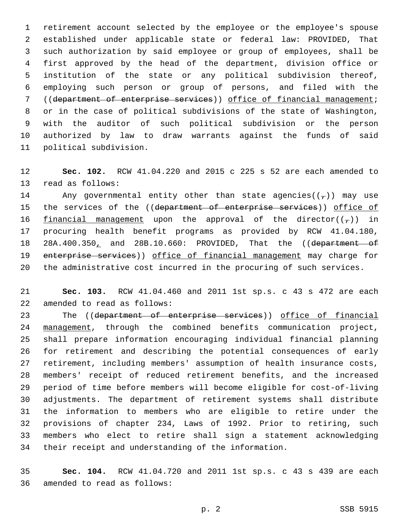retirement account selected by the employee or the employee's spouse established under applicable state or federal law: PROVIDED, That such authorization by said employee or group of employees, shall be first approved by the head of the department, division office or institution of the state or any political subdivision thereof, employing such person or group of persons, and filed with the ((department of enterprise services)) office of financial management; or in the case of political subdivisions of the state of Washington, with the auditor of such political subdivision or the person authorized by law to draw warrants against the funds of said 11 political subdivision.

 **Sec. 102.** RCW 41.04.220 and 2015 c 225 s 52 are each amended to 13 read as follows:

14 Any governmental entity other than state agencies( $(\tau)$ ) may use 15 the services of the ((department of enterprise services)) office of 16 financial management upon the approval of the director( $(\tau)$ ) in procuring health benefit programs as provided by RCW 41.04.180, 18 28A.400.350, and 28B.10.660: PROVIDED, That the ((department of 19 enterprise services)) office of financial management may charge for the administrative cost incurred in the procuring of such services.

 **Sec. 103.** RCW 41.04.460 and 2011 1st sp.s. c 43 s 472 are each 22 amended to read as follows:

23 The ((department of enterprise services)) office of financial management, through the combined benefits communication project, shall prepare information encouraging individual financial planning for retirement and describing the potential consequences of early retirement, including members' assumption of health insurance costs, members' receipt of reduced retirement benefits, and the increased period of time before members will become eligible for cost-of-living adjustments. The department of retirement systems shall distribute the information to members who are eligible to retire under the provisions of chapter 234, Laws of 1992. Prior to retiring, such members who elect to retire shall sign a statement acknowledging their receipt and understanding of the information.

 **Sec. 104.** RCW 41.04.720 and 2011 1st sp.s. c 43 s 439 are each 36 amended to read as follows: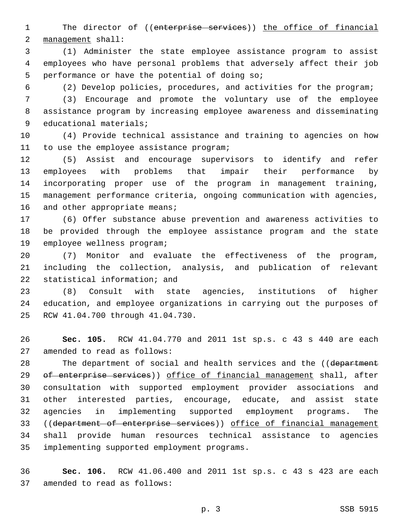1 The director of ((enterprise services)) the office of financial 2 management shall:

 (1) Administer the state employee assistance program to assist employees who have personal problems that adversely affect their job 5 performance or have the potential of doing so;

(2) Develop policies, procedures, and activities for the program;

 (3) Encourage and promote the voluntary use of the employee assistance program by increasing employee awareness and disseminating 9 educational materials;

 (4) Provide technical assistance and training to agencies on how 11 to use the employee assistance program;

 (5) Assist and encourage supervisors to identify and refer employees with problems that impair their performance by incorporating proper use of the program in management training, management performance criteria, ongoing communication with agencies, 16 and other appropriate means;

 (6) Offer substance abuse prevention and awareness activities to be provided through the employee assistance program and the state 19 employee wellness program;

 (7) Monitor and evaluate the effectiveness of the program, including the collection, analysis, and publication of relevant 22 statistical information; and

 (8) Consult with state agencies, institutions of higher education, and employee organizations in carrying out the purposes of 25 RCW 41.04.700 through 41.04.730.

 **Sec. 105.** RCW 41.04.770 and 2011 1st sp.s. c 43 s 440 are each 27 amended to read as follows:

28 The department of social and health services and the ((department 29 of enterprise services)) office of financial management shall, after consultation with supported employment provider associations and other interested parties, encourage, educate, and assist state agencies in implementing supported employment programs. The ((department of enterprise services)) office of financial management shall provide human resources technical assistance to agencies implementing supported employment programs.35

 **Sec. 106.** RCW 41.06.400 and 2011 1st sp.s. c 43 s 423 are each 37 amended to read as follows: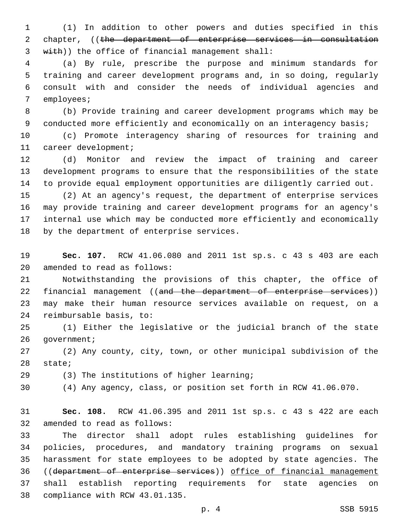(1) In addition to other powers and duties specified in this 2 chapter, ((the department of enterprise services in consultation 3 with)) the office of financial management shall:

 (a) By rule, prescribe the purpose and minimum standards for training and career development programs and, in so doing, regularly consult with and consider the needs of individual agencies and 7 employees;

 (b) Provide training and career development programs which may be conducted more efficiently and economically on an interagency basis;

 (c) Promote interagency sharing of resources for training and 11 career development;

 (d) Monitor and review the impact of training and career development programs to ensure that the responsibilities of the state to provide equal employment opportunities are diligently carried out.

 (2) At an agency's request, the department of enterprise services may provide training and career development programs for an agency's internal use which may be conducted more efficiently and economically 18 by the department of enterprise services.

 **Sec. 107.** RCW 41.06.080 and 2011 1st sp.s. c 43 s 403 are each 20 amended to read as follows:

 Notwithstanding the provisions of this chapter, the office of 22 financial management ((and the department of enterprise services)) may make their human resource services available on request, on a 24 reimbursable basis, to:

 (1) Either the legislative or the judicial branch of the state 26 qovernment;

 (2) Any county, city, town, or other municipal subdivision of the 28 state;

(3) The institutions of higher learning;

(4) Any agency, class, or position set forth in RCW 41.06.070.

 **Sec. 108.** RCW 41.06.395 and 2011 1st sp.s. c 43 s 422 are each 32 amended to read as follows:

 The director shall adopt rules establishing guidelines for policies, procedures, and mandatory training programs on sexual harassment for state employees to be adopted by state agencies. The ((department of enterprise services)) office of financial management shall establish reporting requirements for state agencies on 38 compliance with RCW 43.01.135.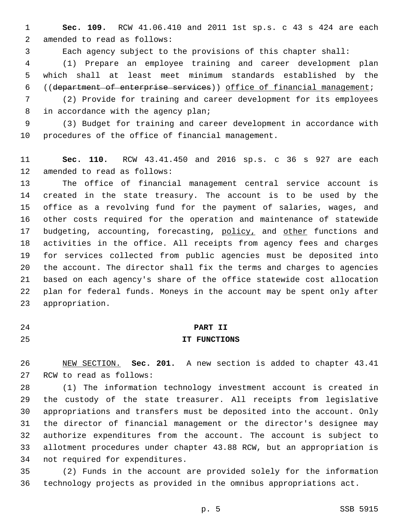**Sec. 109.** RCW 41.06.410 and 2011 1st sp.s. c 43 s 424 are each 2 amended to read as follows:

Each agency subject to the provisions of this chapter shall:

 (1) Prepare an employee training and career development plan which shall at least meet minimum standards established by the ((department of enterprise services)) office of financial management;

 (2) Provide for training and career development for its employees 8 in accordance with the agency plan;

 (3) Budget for training and career development in accordance with 10 procedures of the office of financial management.

 **Sec. 110.** RCW 43.41.450 and 2016 sp.s. c 36 s 927 are each 12 amended to read as follows:

 The office of financial management central service account is created in the state treasury. The account is to be used by the office as a revolving fund for the payment of salaries, wages, and other costs required for the operation and maintenance of statewide 17 budgeting, accounting, forecasting, policy, and other functions and activities in the office. All receipts from agency fees and charges for services collected from public agencies must be deposited into the account. The director shall fix the terms and charges to agencies based on each agency's share of the office statewide cost allocation plan for federal funds. Moneys in the account may be spent only after 23 appropriation.

#### **PART II**

#### **IT FUNCTIONS**

 NEW SECTION. **Sec. 201.** A new section is added to chapter 43.41 27 RCW to read as follows:

 (1) The information technology investment account is created in the custody of the state treasurer. All receipts from legislative appropriations and transfers must be deposited into the account. Only the director of financial management or the director's designee may authorize expenditures from the account. The account is subject to allotment procedures under chapter 43.88 RCW, but an appropriation is 34 not required for expenditures.

 (2) Funds in the account are provided solely for the information technology projects as provided in the omnibus appropriations act.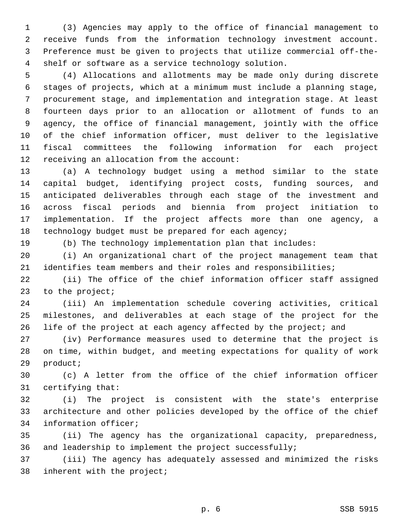(3) Agencies may apply to the office of financial management to receive funds from the information technology investment account. Preference must be given to projects that utilize commercial off-the-shelf or software as a service technology solution.

 (4) Allocations and allotments may be made only during discrete stages of projects, which at a minimum must include a planning stage, procurement stage, and implementation and integration stage. At least fourteen days prior to an allocation or allotment of funds to an agency, the office of financial management, jointly with the office of the chief information officer, must deliver to the legislative fiscal committees the following information for each project 12 receiving an allocation from the account:

 (a) A technology budget using a method similar to the state capital budget, identifying project costs, funding sources, and anticipated deliverables through each stage of the investment and across fiscal periods and biennia from project initiation to implementation. If the project affects more than one agency, a 18 technology budget must be prepared for each agency;

(b) The technology implementation plan that includes:

 (i) An organizational chart of the project management team that identifies team members and their roles and responsibilities;

 (ii) The office of the chief information officer staff assigned 23 to the project;

 (iii) An implementation schedule covering activities, critical milestones, and deliverables at each stage of the project for the 26 life of the project at each agency affected by the project; and

 (iv) Performance measures used to determine that the project is on time, within budget, and meeting expectations for quality of work 29 product;

 (c) A letter from the office of the chief information officer 31 certifying that:

 (i) The project is consistent with the state's enterprise architecture and other policies developed by the office of the chief 34 information officer;

 (ii) The agency has the organizational capacity, preparedness, and leadership to implement the project successfully;

 (iii) The agency has adequately assessed and minimized the risks 38 inherent with the project;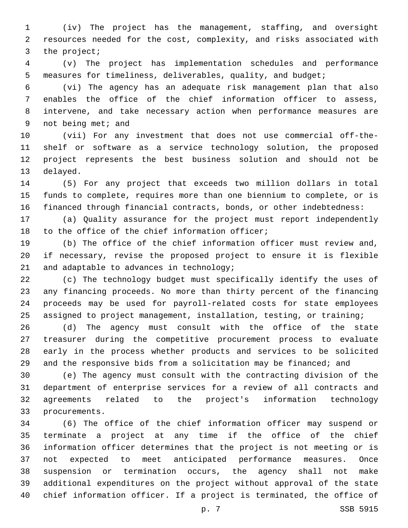(iv) The project has the management, staffing, and oversight resources needed for the cost, complexity, and risks associated with 3 the project;

 (v) The project has implementation schedules and performance measures for timeliness, deliverables, quality, and budget;

 (vi) The agency has an adequate risk management plan that also enables the office of the chief information officer to assess, intervene, and take necessary action when performance measures are 9 not being met; and

 (vii) For any investment that does not use commercial off-the- shelf or software as a service technology solution, the proposed project represents the best business solution and should not be 13 delayed.

 (5) For any project that exceeds two million dollars in total funds to complete, requires more than one biennium to complete, or is financed through financial contracts, bonds, or other indebtedness:

 (a) Quality assurance for the project must report independently 18 to the office of the chief information officer;

 (b) The office of the chief information officer must review and, if necessary, revise the proposed project to ensure it is flexible 21 and adaptable to advances in technology;

 (c) The technology budget must specifically identify the uses of any financing proceeds. No more than thirty percent of the financing proceeds may be used for payroll-related costs for state employees assigned to project management, installation, testing, or training;

 (d) The agency must consult with the office of the state treasurer during the competitive procurement process to evaluate early in the process whether products and services to be solicited 29 and the responsive bids from a solicitation may be financed; and

 (e) The agency must consult with the contracting division of the department of enterprise services for a review of all contracts and agreements related to the project's information technology 33 procurements.

 (6) The office of the chief information officer may suspend or terminate a project at any time if the office of the chief information officer determines that the project is not meeting or is not expected to meet anticipated performance measures. Once suspension or termination occurs, the agency shall not make additional expenditures on the project without approval of the state chief information officer. If a project is terminated, the office of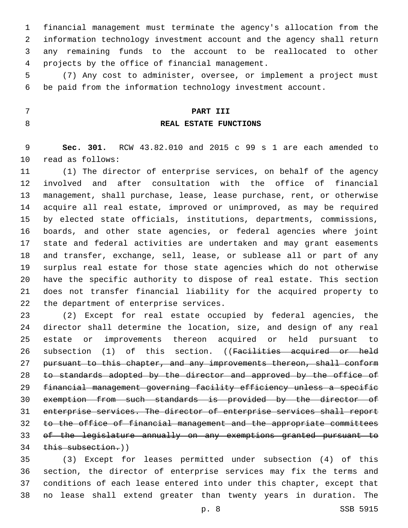financial management must terminate the agency's allocation from the information technology investment account and the agency shall return any remaining funds to the account to be reallocated to other 4 projects by the office of financial management.

 (7) Any cost to administer, oversee, or implement a project must be paid from the information technology investment account.

#### **PART III**

#### **REAL ESTATE FUNCTIONS**

 **Sec. 301.** RCW 43.82.010 and 2015 c 99 s 1 are each amended to 10 read as follows:

 (1) The director of enterprise services, on behalf of the agency involved and after consultation with the office of financial management, shall purchase, lease, lease purchase, rent, or otherwise acquire all real estate, improved or unimproved, as may be required by elected state officials, institutions, departments, commissions, boards, and other state agencies, or federal agencies where joint state and federal activities are undertaken and may grant easements and transfer, exchange, sell, lease, or sublease all or part of any surplus real estate for those state agencies which do not otherwise have the specific authority to dispose of real estate. This section does not transfer financial liability for the acquired property to 22 the department of enterprise services.

 (2) Except for real estate occupied by federal agencies, the director shall determine the location, size, and design of any real estate or improvements thereon acquired or held pursuant to 26 subsection (1) of this section. ((Facilities acquired or held pursuant to this chapter, and any improvements thereon, shall conform 28 to standards adopted by the director and approved by the office of financial management governing facility efficiency unless a specific exemption from such standards is provided by the director of enterprise services. The director of enterprise services shall report to the office of financial management and the appropriate committees of the legislature annually on any exemptions granted pursuant to this subsection.))

 (3) Except for leases permitted under subsection (4) of this section, the director of enterprise services may fix the terms and conditions of each lease entered into under this chapter, except that no lease shall extend greater than twenty years in duration. The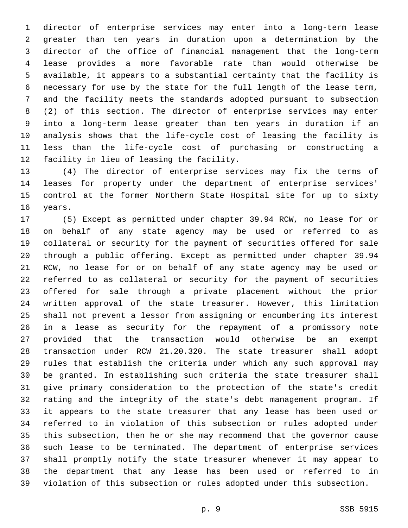director of enterprise services may enter into a long-term lease greater than ten years in duration upon a determination by the director of the office of financial management that the long-term lease provides a more favorable rate than would otherwise be available, it appears to a substantial certainty that the facility is necessary for use by the state for the full length of the lease term, and the facility meets the standards adopted pursuant to subsection (2) of this section. The director of enterprise services may enter into a long-term lease greater than ten years in duration if an analysis shows that the life-cycle cost of leasing the facility is less than the life-cycle cost of purchasing or constructing a 12 facility in lieu of leasing the facility.

 (4) The director of enterprise services may fix the terms of leases for property under the department of enterprise services' control at the former Northern State Hospital site for up to sixty 16 years.

 (5) Except as permitted under chapter 39.94 RCW, no lease for or on behalf of any state agency may be used or referred to as collateral or security for the payment of securities offered for sale through a public offering. Except as permitted under chapter 39.94 RCW, no lease for or on behalf of any state agency may be used or referred to as collateral or security for the payment of securities offered for sale through a private placement without the prior written approval of the state treasurer. However, this limitation shall not prevent a lessor from assigning or encumbering its interest in a lease as security for the repayment of a promissory note provided that the transaction would otherwise be an exempt transaction under RCW 21.20.320. The state treasurer shall adopt rules that establish the criteria under which any such approval may be granted. In establishing such criteria the state treasurer shall give primary consideration to the protection of the state's credit rating and the integrity of the state's debt management program. If it appears to the state treasurer that any lease has been used or referred to in violation of this subsection or rules adopted under this subsection, then he or she may recommend that the governor cause such lease to be terminated. The department of enterprise services shall promptly notify the state treasurer whenever it may appear to the department that any lease has been used or referred to in violation of this subsection or rules adopted under this subsection.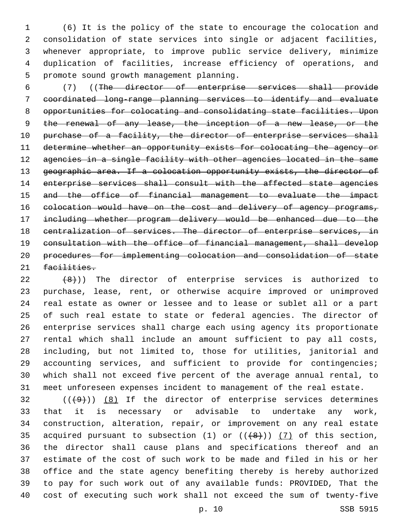(6) It is the policy of the state to encourage the colocation and consolidation of state services into single or adjacent facilities, whenever appropriate, to improve public service delivery, minimize duplication of facilities, increase efficiency of operations, and 5 promote sound growth management planning.

 (7) ((The director of enterprise services shall provide coordinated long-range planning services to identify and evaluate opportunities for colocating and consolidating state facilities. Upon 9 the renewal of any lease, the inception of a new lease, or the 10 purchase of a facility, the director of enterprise services shall determine whether an opportunity exists for colocating the agency or 12 agencies in a single facility with other agencies located in the same 13 geographic area. If a colocation opportunity exists, the director of 14 enterprise services shall consult with the affected state agencies and the office of financial management to evaluate the impact 16 colocation would have on the cost and delivery of agency programs, including whether program delivery would be enhanced due to the centralization of services. The director of enterprise services, in consultation with the office of financial management, shall develop procedures for implementing colocation and consolidation of state 21 facilities.

 $(8)$ )) The director of enterprise services is authorized to purchase, lease, rent, or otherwise acquire improved or unimproved real estate as owner or lessee and to lease or sublet all or a part of such real estate to state or federal agencies. The director of enterprise services shall charge each using agency its proportionate rental which shall include an amount sufficient to pay all costs, including, but not limited to, those for utilities, janitorial and 29 accounting services, and sufficient to provide for contingencies; which shall not exceed five percent of the average annual rental, to meet unforeseen expenses incident to management of the real estate.

 ( $(\frac{49}{})$ )  $(8)$  If the director of enterprise services determines that it is necessary or advisable to undertake any work, construction, alteration, repair, or improvement on any real estate 35 acquired pursuant to subsection (1) or  $((+8+))$  (7) of this section, the director shall cause plans and specifications thereof and an estimate of the cost of such work to be made and filed in his or her office and the state agency benefiting thereby is hereby authorized to pay for such work out of any available funds: PROVIDED, That the cost of executing such work shall not exceed the sum of twenty-five

p. 10 SSB 5915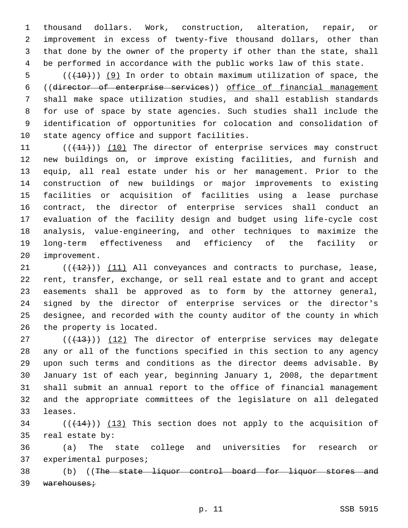thousand dollars. Work, construction, alteration, repair, or improvement in excess of twenty-five thousand dollars, other than that done by the owner of the property if other than the state, shall be performed in accordance with the public works law of this state.

 $((+10))$  (9) In order to obtain maximum utilization of space, the ((director of enterprise services)) office of financial management shall make space utilization studies, and shall establish standards for use of space by state agencies. Such studies shall include the identification of opportunities for colocation and consolidation of 10 state agency office and support facilities.

11 (((41))) (10) The director of enterprise services may construct new buildings on, or improve existing facilities, and furnish and equip, all real estate under his or her management. Prior to the construction of new buildings or major improvements to existing facilities or acquisition of facilities using a lease purchase contract, the director of enterprise services shall conduct an evaluation of the facility design and budget using life-cycle cost analysis, value-engineering, and other techniques to maximize the long-term effectiveness and efficiency of the facility or 20 improvement.

 $(1)$   $(12)$ )  $(11)$  All conveyances and contracts to purchase, lease, rent, transfer, exchange, or sell real estate and to grant and accept easements shall be approved as to form by the attorney general, signed by the director of enterprise services or the director's designee, and recorded with the county auditor of the county in which 26 the property is located.

27 (((413))) (12) The director of enterprise services may delegate any or all of the functions specified in this section to any agency upon such terms and conditions as the director deems advisable. By January 1st of each year, beginning January 1, 2008, the department shall submit an annual report to the office of financial management and the appropriate committees of the legislature on all delegated 33 leases.

 (( $(144)$ )) (13) This section does not apply to the acquisition of 35 real estate by:

 (a) The state college and universities for research or 37 experimental purposes;

 (b) ((The state liquor control board for liquor stores and 39 warehouses;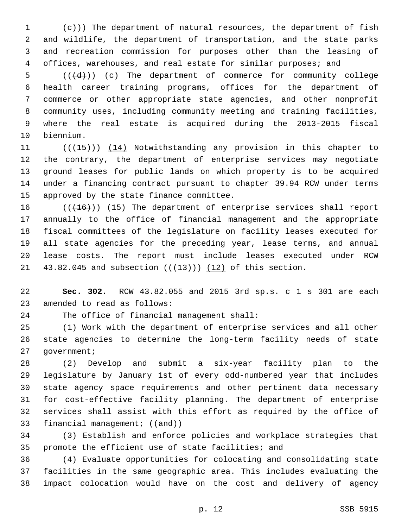$(e+)$ ) The department of natural resources, the department of fish and wildlife, the department of transportation, and the state parks and recreation commission for purposes other than the leasing of offices, warehouses, and real estate for similar purposes; and

 $((\{d\}))(c)$  The department of commerce for community college health career training programs, offices for the department of commerce or other appropriate state agencies, and other nonprofit community uses, including community meeting and training facilities, where the real estate is acquired during the 2013-2015 fiscal 10 biennium.

11 (((15))) (14) Notwithstanding any provision in this chapter to the contrary, the department of enterprise services may negotiate ground leases for public lands on which property is to be acquired under a financing contract pursuant to chapter 39.94 RCW under terms 15 approved by the state finance committee.

16 (( $(16)$ )) (15) The department of enterprise services shall report annually to the office of financial management and the appropriate fiscal committees of the legislature on facility leases executed for all state agencies for the preceding year, lease terms, and annual lease costs. The report must include leases executed under RCW 21 43.82.045 and subsection  $((+13))$   $(12)$  of this section.

 **Sec. 302.** RCW 43.82.055 and 2015 3rd sp.s. c 1 s 301 are each 23 amended to read as follows:

24 The office of financial management shall:

 (1) Work with the department of enterprise services and all other state agencies to determine the long-term facility needs of state 27 government;

 (2) Develop and submit a six-year facility plan to the legislature by January 1st of every odd-numbered year that includes state agency space requirements and other pertinent data necessary for cost-effective facility planning. The department of enterprise services shall assist with this effort as required by the office of 33 financial management; ((and))

 (3) Establish and enforce policies and workplace strategies that 35 promote the efficient use of state facilities; and

 (4) Evaluate opportunities for colocating and consolidating state 37 facilities in the same geographic area. This includes evaluating the impact colocation would have on the cost and delivery of agency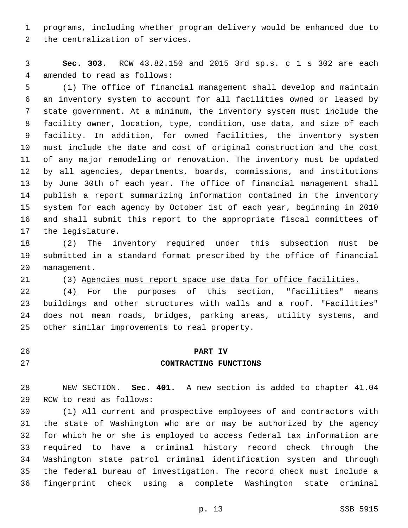programs, including whether program delivery would be enhanced due to

2 the centralization of services.

 **Sec. 303.** RCW 43.82.150 and 2015 3rd sp.s. c 1 s 302 are each 4 amended to read as follows:

 (1) The office of financial management shall develop and maintain an inventory system to account for all facilities owned or leased by state government. At a minimum, the inventory system must include the facility owner, location, type, condition, use data, and size of each facility. In addition, for owned facilities, the inventory system must include the date and cost of original construction and the cost of any major remodeling or renovation. The inventory must be updated by all agencies, departments, boards, commissions, and institutions by June 30th of each year. The office of financial management shall publish a report summarizing information contained in the inventory system for each agency by October 1st of each year, beginning in 2010 and shall submit this report to the appropriate fiscal committees of 17 the legislature.

 (2) The inventory required under this subsection must be submitted in a standard format prescribed by the office of financial 20 management.

(3) Agencies must report space use data for office facilities.

22 (4) For the purposes of this section, "facilities" means buildings and other structures with walls and a roof. "Facilities" does not mean roads, bridges, parking areas, utility systems, and 25 other similar improvements to real property.

# **PART IV**

## **CONTRACTING FUNCTIONS**

 NEW SECTION. **Sec. 401.** A new section is added to chapter 41.04 29 RCW to read as follows:

 (1) All current and prospective employees of and contractors with the state of Washington who are or may be authorized by the agency for which he or she is employed to access federal tax information are required to have a criminal history record check through the Washington state patrol criminal identification system and through the federal bureau of investigation. The record check must include a fingerprint check using a complete Washington state criminal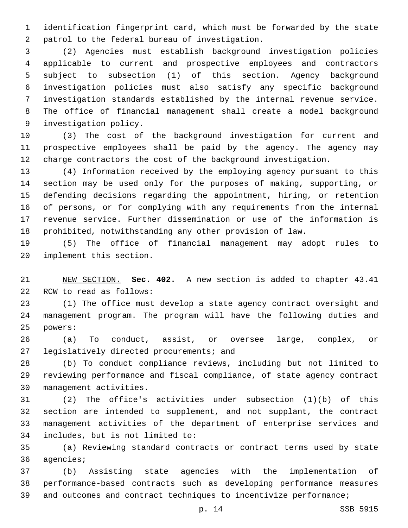identification fingerprint card, which must be forwarded by the state 2 patrol to the federal bureau of investigation.

 (2) Agencies must establish background investigation policies applicable to current and prospective employees and contractors subject to subsection (1) of this section. Agency background investigation policies must also satisfy any specific background investigation standards established by the internal revenue service. The office of financial management shall create a model background 9 investigation policy.

 (3) The cost of the background investigation for current and prospective employees shall be paid by the agency. The agency may charge contractors the cost of the background investigation.

 (4) Information received by the employing agency pursuant to this section may be used only for the purposes of making, supporting, or defending decisions regarding the appointment, hiring, or retention of persons, or for complying with any requirements from the internal revenue service. Further dissemination or use of the information is prohibited, notwithstanding any other provision of law.

 (5) The office of financial management may adopt rules to 20 implement this section.

 NEW SECTION. **Sec. 402.** A new section is added to chapter 43.41 22 RCW to read as follows:

 (1) The office must develop a state agency contract oversight and management program. The program will have the following duties and 25 powers:

 (a) To conduct, assist, or oversee large, complex, or 27 legislatively directed procurements; and

 (b) To conduct compliance reviews, including but not limited to reviewing performance and fiscal compliance, of state agency contract 30 management activities.

 (2) The office's activities under subsection (1)(b) of this section are intended to supplement, and not supplant, the contract management activities of the department of enterprise services and includes, but is not limited to:34

 (a) Reviewing standard contracts or contract terms used by state 36 agencies;

 (b) Assisting state agencies with the implementation of performance-based contracts such as developing performance measures and outcomes and contract techniques to incentivize performance;

p. 14 SSB 5915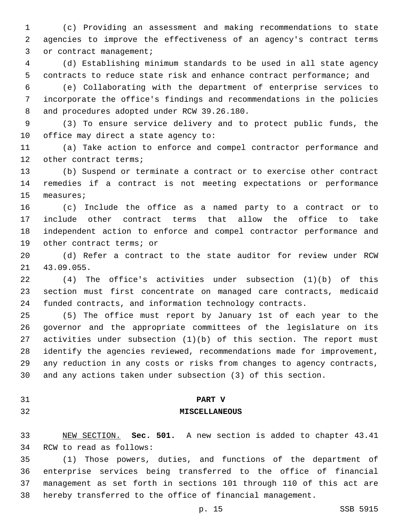(c) Providing an assessment and making recommendations to state agencies to improve the effectiveness of an agency's contract terms 3 or contract management;

 (d) Establishing minimum standards to be used in all state agency contracts to reduce state risk and enhance contract performance; and

 (e) Collaborating with the department of enterprise services to incorporate the office's findings and recommendations in the policies 8 and procedures adopted under RCW 39.26.180.

 (3) To ensure service delivery and to protect public funds, the office may direct a state agency to:

 (a) Take action to enforce and compel contractor performance and 12 other contract terms;

 (b) Suspend or terminate a contract or to exercise other contract remedies if a contract is not meeting expectations or performance 15 measures;

 (c) Include the office as a named party to a contract or to include other contract terms that allow the office to take independent action to enforce and compel contractor performance and 19 other contract terms; or

 (d) Refer a contract to the state auditor for review under RCW 43.09.055.21

 (4) The office's activities under subsection (1)(b) of this section must first concentrate on managed care contracts, medicaid funded contracts, and information technology contracts.

 (5) The office must report by January 1st of each year to the governor and the appropriate committees of the legislature on its activities under subsection (1)(b) of this section. The report must identify the agencies reviewed, recommendations made for improvement, any reduction in any costs or risks from changes to agency contracts, and any actions taken under subsection (3) of this section.

#### **PART V**

### **MISCELLANEOUS**

 NEW SECTION. **Sec. 501.** A new section is added to chapter 43.41 34 RCW to read as follows:

 (1) Those powers, duties, and functions of the department of enterprise services being transferred to the office of financial management as set forth in sections 101 through 110 of this act are hereby transferred to the office of financial management.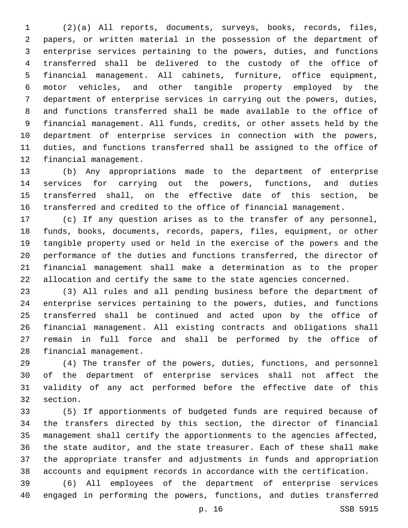(2)(a) All reports, documents, surveys, books, records, files, papers, or written material in the possession of the department of enterprise services pertaining to the powers, duties, and functions transferred shall be delivered to the custody of the office of financial management. All cabinets, furniture, office equipment, motor vehicles, and other tangible property employed by the department of enterprise services in carrying out the powers, duties, and functions transferred shall be made available to the office of financial management. All funds, credits, or other assets held by the department of enterprise services in connection with the powers, duties, and functions transferred shall be assigned to the office of 12 financial management.

 (b) Any appropriations made to the department of enterprise services for carrying out the powers, functions, and duties transferred shall, on the effective date of this section, be transferred and credited to the office of financial management.

 (c) If any question arises as to the transfer of any personnel, funds, books, documents, records, papers, files, equipment, or other tangible property used or held in the exercise of the powers and the performance of the duties and functions transferred, the director of financial management shall make a determination as to the proper allocation and certify the same to the state agencies concerned.

 (3) All rules and all pending business before the department of enterprise services pertaining to the powers, duties, and functions transferred shall be continued and acted upon by the office of financial management. All existing contracts and obligations shall remain in full force and shall be performed by the office of 28 financial management.

 (4) The transfer of the powers, duties, functions, and personnel of the department of enterprise services shall not affect the validity of any act performed before the effective date of this 32 section.

 (5) If apportionments of budgeted funds are required because of the transfers directed by this section, the director of financial management shall certify the apportionments to the agencies affected, the state auditor, and the state treasurer. Each of these shall make the appropriate transfer and adjustments in funds and appropriation accounts and equipment records in accordance with the certification.

 (6) All employees of the department of enterprise services engaged in performing the powers, functions, and duties transferred